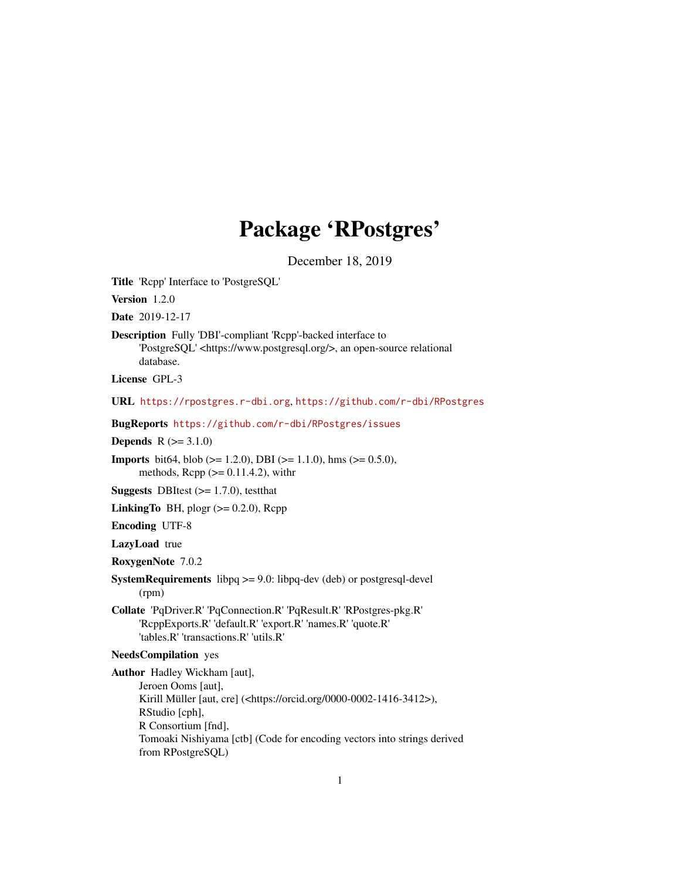# Package 'RPostgres'

December 18, 2019

<span id="page-0-0"></span>Title 'Rcpp' Interface to 'PostgreSQL'

Version 1.2.0

Date 2019-12-17

Description Fully 'DBI'-compliant 'Rcpp'-backed interface to 'PostgreSQL' <https://www.postgresql.org/>, an open-source relational database.

License GPL-3

URL <https://rpostgres.r-dbi.org>, <https://github.com/r-dbi/RPostgres>

BugReports <https://github.com/r-dbi/RPostgres/issues>

**Depends**  $R (= 3.1.0)$ 

**Imports** bit64, blob ( $>= 1.2.0$ ), DBI ( $>= 1.1.0$ ), hms ( $>= 0.5.0$ ), methods,  $\text{Rcpp}$  ( $\geq 0.11.4.2$ ), with r

**Suggests** DBItest  $(>= 1.7.0)$ , testthat

LinkingTo BH, plogr  $(>= 0.2.0)$ , Rcpp

Encoding UTF-8

LazyLoad true

RoxygenNote 7.0.2

SystemRequirements libpq >= 9.0: libpq-dev (deb) or postgresql-devel (rpm)

Collate 'PqDriver.R' 'PqConnection.R' 'PqResult.R' 'RPostgres-pkg.R' 'RcppExports.R' 'default.R' 'export.R' 'names.R' 'quote.R' 'tables.R' 'transactions.R' 'utils.R'

## NeedsCompilation yes

Author Hadley Wickham [aut], Jeroen Ooms [aut], Kirill Müller [aut, cre] (<https://orcid.org/0000-0002-1416-3412>), RStudio [cph], R Consortium [fnd], Tomoaki Nishiyama [ctb] (Code for encoding vectors into strings derived from RPostgreSQL)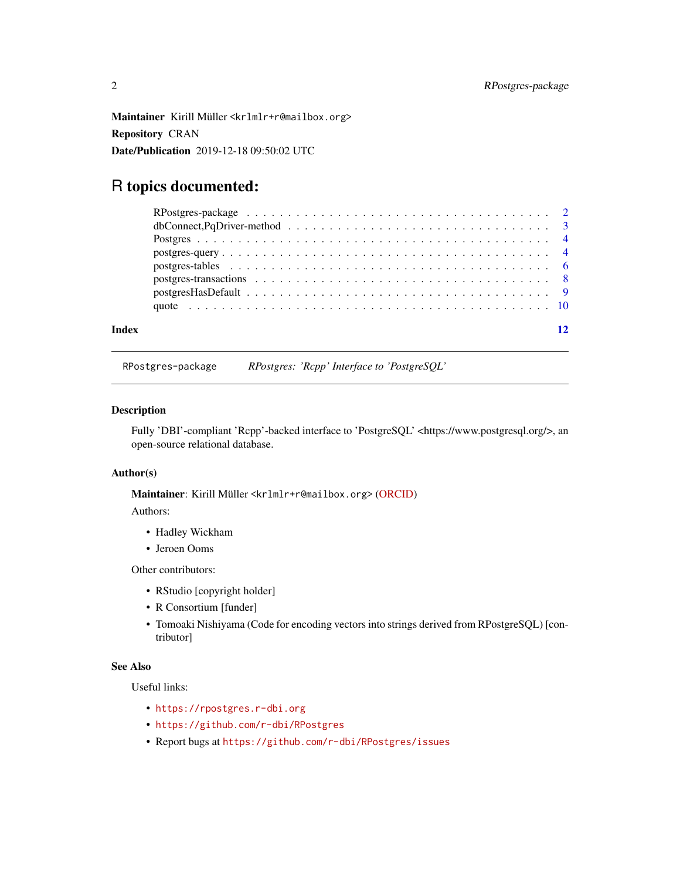<span id="page-1-0"></span>Maintainer Kirill Müller <krlmlr+r@mailbox.org> Repository CRAN Date/Publication 2019-12-18 09:50:02 UTC

# R topics documented:

| Index |  |
|-------|--|
|       |  |

RPostgres-package *RPostgres: 'Rcpp' Interface to 'PostgreSQL'*

#### Description

Fully 'DBI'-compliant 'Rcpp'-backed interface to 'PostgreSQL' <https://www.postgresql.org/>, an open-source relational database.

#### Author(s)

Maintainer: Kirill Müller <krlmlr+r@mailbox.org> [\(ORCID\)](https://orcid.org/0000-0002-1416-3412)

Authors:

- Hadley Wickham
- Jeroen Ooms

Other contributors:

- RStudio [copyright holder]
- R Consortium [funder]
- Tomoaki Nishiyama (Code for encoding vectors into strings derived from RPostgreSQL) [contributor]

### See Also

Useful links:

- <https://rpostgres.r-dbi.org>
- <https://github.com/r-dbi/RPostgres>
- Report bugs at <https://github.com/r-dbi/RPostgres/issues>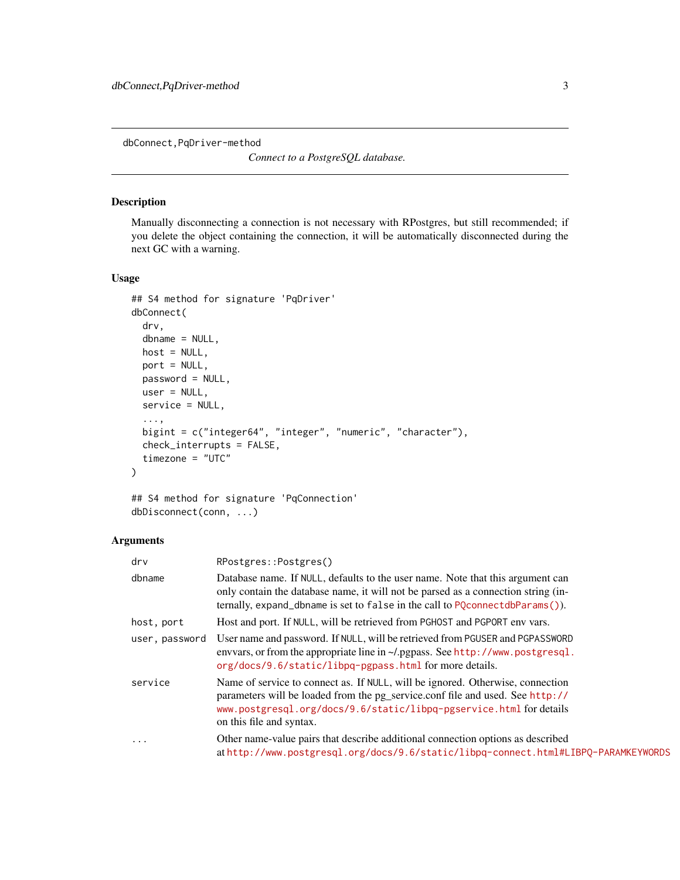<span id="page-2-0"></span>dbConnect,PqDriver-method

*Connect to a PostgreSQL database.*

# Description

Manually disconnecting a connection is not necessary with RPostgres, but still recommended; if you delete the object containing the connection, it will be automatically disconnected during the next GC with a warning.

#### Usage

```
## S4 method for signature 'PqDriver'
dbConnect(
 drv,
  dbname = NULL,
 host = NULL,
 port = NULL,
 password = NULL,
 user = NULL,
 service = NULL,
  ...,
 bigint = c("integer64", "integer", "numeric", "character"),
  check_interrupts = FALSE,
  timezone = "UTC"
)
```

```
## S4 method for signature 'PqConnection'
dbDisconnect(conn, ...)
```
### Arguments

| $\mathsf{d}\mathsf{r}\mathsf{v}$ | RPostgres::Postgres()                                                                                                                                                                                                                                              |
|----------------------------------|--------------------------------------------------------------------------------------------------------------------------------------------------------------------------------------------------------------------------------------------------------------------|
| dbname                           | Database name. If NULL, defaults to the user name. Note that this argument can<br>only contain the database name, it will not be parsed as a connection string (in-<br>ternally, expand_dbname is set to false in the call to PQconnectdbParams()).                |
| host, port                       | Host and port. If NULL, will be retrieved from PGHOST and PGPORT env vars.                                                                                                                                                                                         |
| user, password                   | User name and password. If NULL, will be retrieved from PGUSER and PGPASSWORD<br>envotes, or from the appropriate line in ~/.pgpass. See http://www.postgresql.<br>org/docs/9.6/static/libpq-pgpass.html for more details.                                         |
| service                          | Name of service to connect as. If NULL, will be ignored. Otherwise, connection<br>parameters will be loaded from the pg_service.conf file and used. See http://<br>www.postgresql.org/docs/9.6/static/libpq-pgservice.html for details<br>on this file and syntax. |
| .                                | Other name-value pairs that describe additional connection options as described<br>athttp://www.postgresql.org/docs/9.6/static/libpq-connect.html#LIBPQ-PARAMKEYWORDS                                                                                              |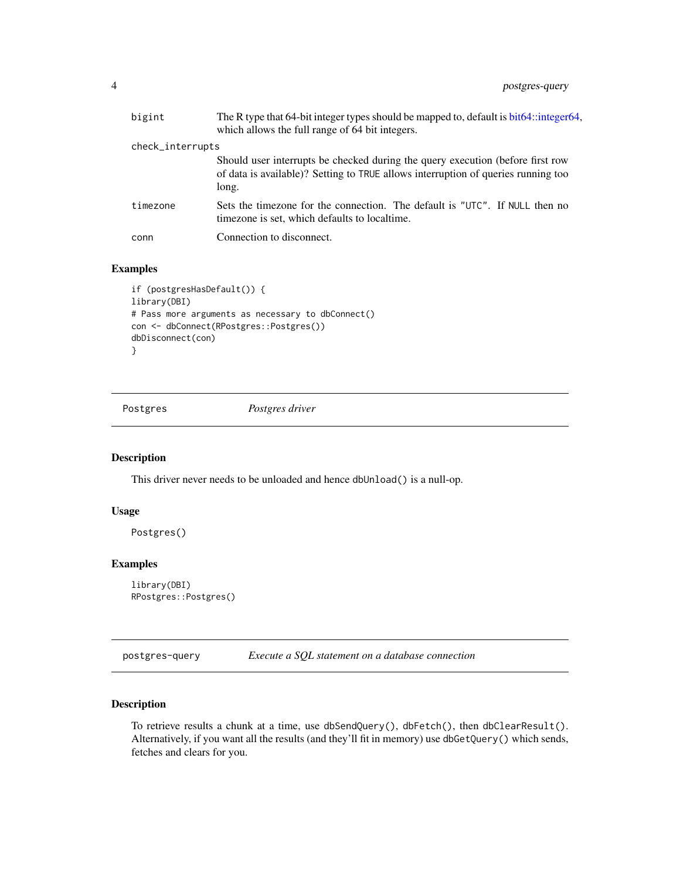<span id="page-3-0"></span>

| bigint           | The R type that 64-bit integer types should be mapped to, default is bit64::integer64,<br>which allows the full range of 64 bit integers.                                    |
|------------------|------------------------------------------------------------------------------------------------------------------------------------------------------------------------------|
| check_interrupts |                                                                                                                                                                              |
|                  | Should user interrupts be checked during the query execution (before first row<br>of data is available)? Setting to TRUE allows interruption of queries running too<br>long. |
| timezone         | Sets the timezone for the connection. The default is "UTC". If NULL then no<br>timezone is set, which defaults to localtime.                                                 |
| conn             | Connection to disconnect.                                                                                                                                                    |

# Examples

```
if (postgresHasDefault()) {
library(DBI)
# Pass more arguments as necessary to dbConnect()
con <- dbConnect(RPostgres::Postgres())
dbDisconnect(con)
}
```
Postgres *Postgres driver*

# Description

This driver never needs to be unloaded and hence dbUnload() is a null-op.

#### Usage

Postgres()

#### Examples

```
library(DBI)
RPostgres::Postgres()
```
postgres-query *Execute a SQL statement on a database connection*

#### Description

To retrieve results a chunk at a time, use dbSendQuery(), dbFetch(), then dbClearResult(). Alternatively, if you want all the results (and they'll fit in memory) use dbGetQuery() which sends, fetches and clears for you.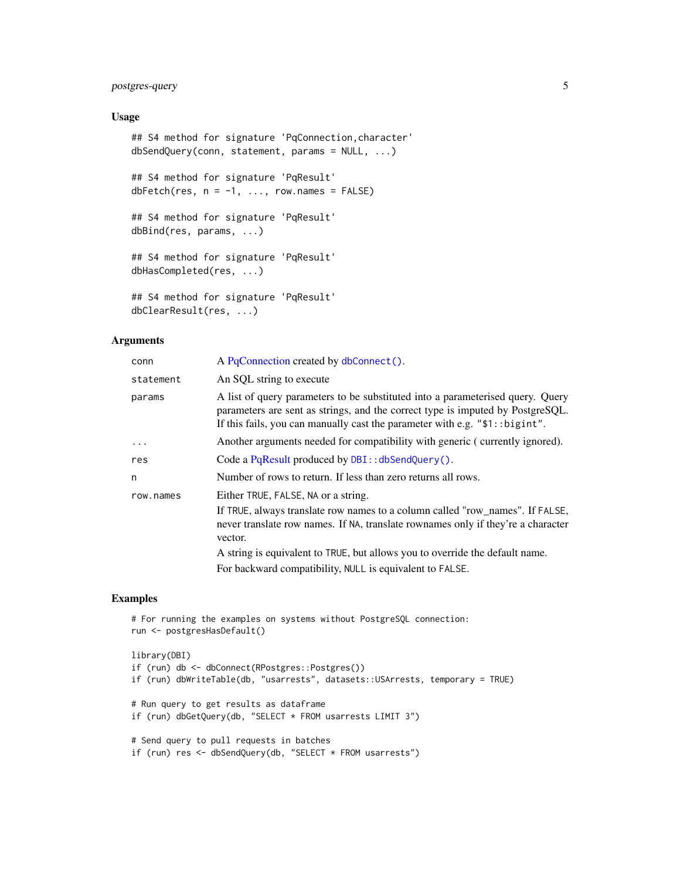### <span id="page-4-0"></span>postgres-query 5

#### Usage

```
## S4 method for signature 'PqConnection,character'
dbSendQuery(conn, statement, params = NULL, ...)
## S4 method for signature 'PqResult'
dbFetch(res, n = -1, \ldots, row.names = FALSE)
## S4 method for signature 'PqResult'
dbBind(res, params, ...)
## S4 method for signature 'PqResult'
dbHasCompleted(res, ...)
## S4 method for signature 'PqResult'
dbClearResult(res, ...)
```
#### Arguments

| conn      | A PqConnection created by dbConnect().                                                                                                                                                                                                             |
|-----------|----------------------------------------------------------------------------------------------------------------------------------------------------------------------------------------------------------------------------------------------------|
| statement | An SQL string to execute                                                                                                                                                                                                                           |
| params    | A list of query parameters to be substituted into a parameterised query. Query<br>parameters are sent as strings, and the correct type is imputed by PostgreSQL.<br>If this fails, you can manually cast the parameter with e.g. $"$1::bigaint"$ . |
| $\ddotsc$ | Another arguments needed for compatibility with generic (currently ignored).                                                                                                                                                                       |
| res       | Code a PqResult produced by $DBI$ : : dbSendQuery().                                                                                                                                                                                               |
| n         | Number of rows to return. If less than zero returns all rows.                                                                                                                                                                                      |
| row.names | Either TRUE, FALSE, NA or a string.                                                                                                                                                                                                                |
|           | If TRUE, always translate row names to a column called "row_names". If FALSE,<br>never translate row names. If NA, translate rownames only if they're a character<br>vector.                                                                       |
|           | A string is equivalent to TRUE, but allows you to override the default name.                                                                                                                                                                       |
|           | For backward compatibility, NULL is equivalent to FALSE.                                                                                                                                                                                           |

### Examples

```
# For running the examples on systems without PostgreSQL connection:
run <- postgresHasDefault()
library(DBI)
if (run) db <- dbConnect(RPostgres::Postgres())
if (run) dbWriteTable(db, "usarrests", datasets::USArrests, temporary = TRUE)
# Run query to get results as dataframe
if (run) dbGetQuery(db, "SELECT * FROM usarrests LIMIT 3")
# Send query to pull requests in batches
if (run) res <- dbSendQuery(db, "SELECT * FROM usarrests")
```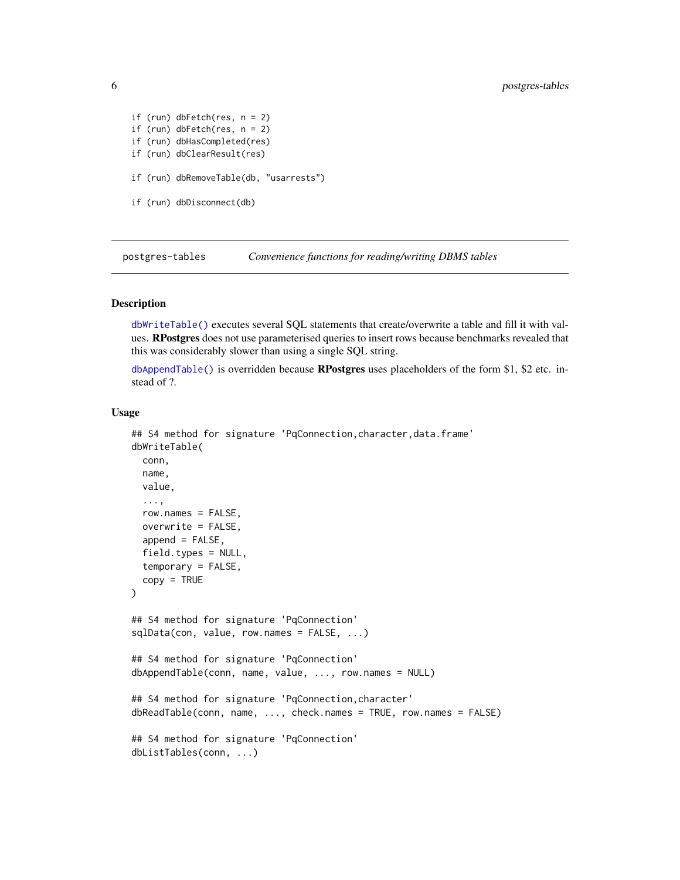```
if (run) dbFetch(res, n = 2)
if (run) dbFetch(res, n = 2)
if (run) dbHasCompleted(res)
if (run) dbClearResult(res)
if (run) dbRemoveTable(db, "usarrests")
if (run) dbDisconnect(db)
```
postgres-tables *Convenience functions for reading/writing DBMS tables*

#### Description

[dbWriteTable\(\)](#page-0-0) executes several SQL statements that create/overwrite a table and fill it with values. RPostgres does not use parameterised queries to insert rows because benchmarks revealed that this was considerably slower than using a single SQL string.

[dbAppendTable\(\)](#page-0-0) is overridden because **RPostgres** uses placeholders of the form \$1, \$2 etc. instead of ?.

#### Usage

```
## S4 method for signature 'PqConnection,character,data.frame'
dbWriteTable(
  conn,
 name,
  value,
  ...,
  row.names = FALSE,
  overwrite = FALSE,
  append = FALSE,field.types = NULL,
  temporary = FALSE,
  copy = TRUE)
## S4 method for signature 'PqConnection'
sqlData(con, value, row.names = FALSE, ...)
## S4 method for signature 'PqConnection'
dbAppendTable(conn, name, value, ..., row.names = NULL)
## S4 method for signature 'PqConnection,character'
dbReadTable(conn, name, ..., check.names = TRUE, row.names = FALSE)
## S4 method for signature 'PqConnection'
dbListTables(conn, ...)
```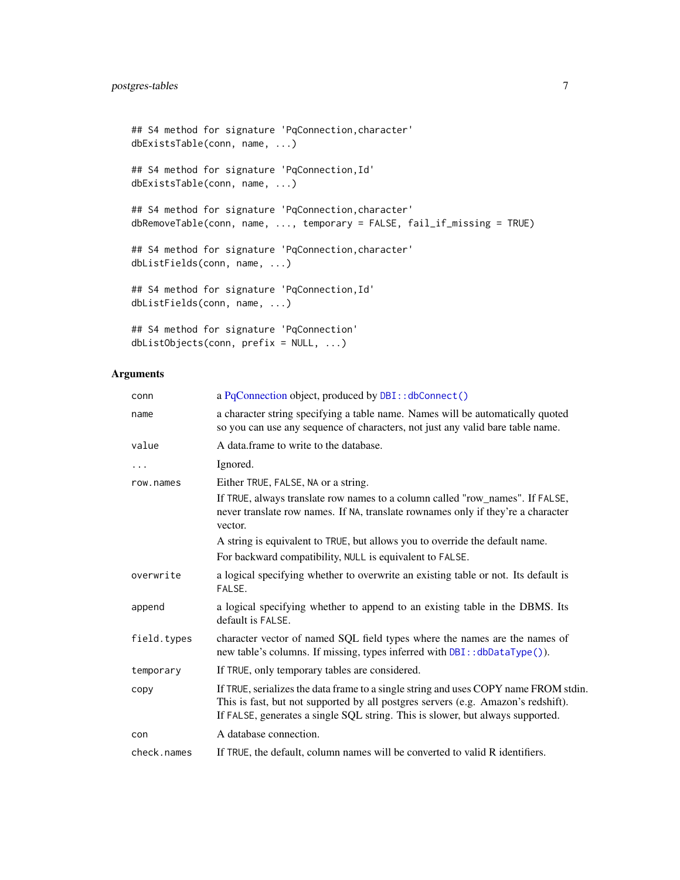```
## S4 method for signature 'PqConnection,character'
dbExistsTable(conn, name, ...)
## S4 method for signature 'PqConnection,Id'
dbExistsTable(conn, name, ...)
## S4 method for signature 'PqConnection,character'
dbRemoveTable(conn, name, ..., temporary = FALSE, fail_if_missing = TRUE)
## S4 method for signature 'PqConnection,character'
dbListFields(conn, name, ...)
## S4 method for signature 'PqConnection,Id'
dbListFields(conn, name, ...)
## S4 method for signature 'PqConnection'
dbListObjects(conn, prefix = NULL, ...)
```
#### Arguments

| conn        | a PqConnection object, produced by DBI:: dbConnect()                                                                                                                                                                                                        |
|-------------|-------------------------------------------------------------------------------------------------------------------------------------------------------------------------------------------------------------------------------------------------------------|
| name        | a character string specifying a table name. Names will be automatically quoted<br>so you can use any sequence of characters, not just any valid bare table name.                                                                                            |
| value       | A data frame to write to the database.                                                                                                                                                                                                                      |
| $\cdots$    | Ignored.                                                                                                                                                                                                                                                    |
| row.names   | Either TRUE, FALSE, NA or a string.                                                                                                                                                                                                                         |
|             | If TRUE, always translate row names to a column called "row_names". If FALSE,<br>never translate row names. If NA, translate rownames only if they're a character<br>vector.                                                                                |
|             | A string is equivalent to TRUE, but allows you to override the default name.                                                                                                                                                                                |
|             | For backward compatibility, NULL is equivalent to FALSE.                                                                                                                                                                                                    |
| overwrite   | a logical specifying whether to overwrite an existing table or not. Its default is<br>FALSE.                                                                                                                                                                |
| append      | a logical specifying whether to append to an existing table in the DBMS. Its<br>default is FALSE.                                                                                                                                                           |
| field.types | character vector of named SQL field types where the names are the names of<br>new table's columns. If missing, types inferred with DBI:: dbDataType()).                                                                                                     |
| temporary   | If TRUE, only temporary tables are considered.                                                                                                                                                                                                              |
| copy        | If TRUE, serializes the data frame to a single string and uses COPY name FROM stdin.<br>This is fast, but not supported by all postgres servers (e.g. Amazon's redshift).<br>If FALSE, generates a single SQL string. This is slower, but always supported. |
| con         | A database connection.                                                                                                                                                                                                                                      |
| check.names | If TRUE, the default, column names will be converted to valid R identifiers.                                                                                                                                                                                |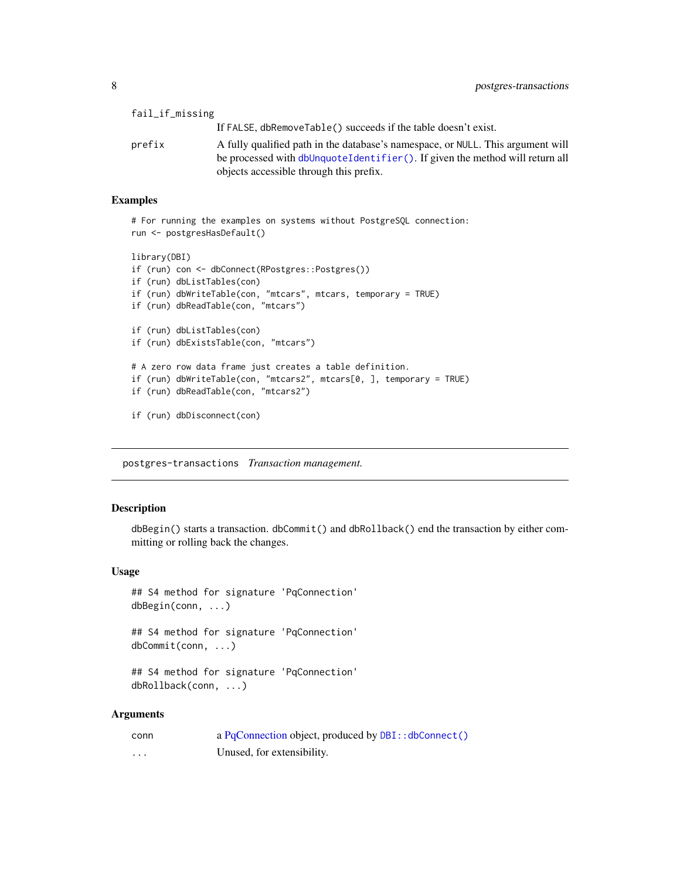<span id="page-7-0"></span>

| fail_if_missing |                                                                                 |
|-----------------|---------------------------------------------------------------------------------|
|                 | If FALSE, dbRemoveTable() succeeds if the table doesn't exist.                  |
| prefix          | A fully qualified path in the database's namespace, or NULL. This argument will |
|                 | be processed with dbUnquoteIdentifier (). If given the method will return all   |
|                 | objects accessible through this prefix.                                         |

#### Examples

```
# For running the examples on systems without PostgreSQL connection:
run <- postgresHasDefault()
```

```
library(DBI)
if (run) con <- dbConnect(RPostgres::Postgres())
if (run) dbListTables(con)
if (run) dbWriteTable(con, "mtcars", mtcars, temporary = TRUE)
if (run) dbReadTable(con, "mtcars")
if (run) dbListTables(con)
if (run) dbExistsTable(con, "mtcars")
# A zero row data frame just creates a table definition.
if (run) dbWriteTable(con, "mtcars2", mtcars[0, ], temporary = TRUE)
if (run) dbReadTable(con, "mtcars2")
if (run) dbDisconnect(con)
```
postgres-transactions *Transaction management.*

#### Description

dbBegin() starts a transaction. dbCommit() and dbRollback() end the transaction by either committing or rolling back the changes.

#### Usage

```
## S4 method for signature 'PqConnection'
dbBegin(conn, ...)
```
## S4 method for signature 'PqConnection' dbCommit(conn, ...)

## S4 method for signature 'PqConnection' dbRollback(conn, ...)

#### Arguments

| conn | a PqConnection object, produced by DBI:: dbConnect() |
|------|------------------------------------------------------|
| .    | Unused, for extensibility.                           |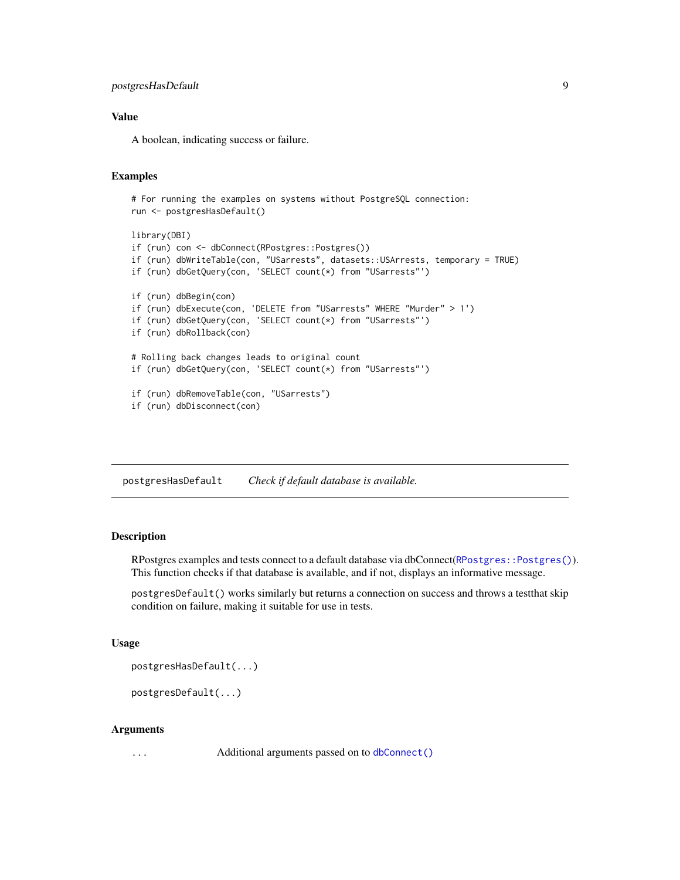### <span id="page-8-0"></span>postgresHasDefault 9

#### Value

A boolean, indicating success or failure.

#### Examples

```
# For running the examples on systems without PostgreSQL connection:
run <- postgresHasDefault()
library(DBI)
if (run) con <- dbConnect(RPostgres::Postgres())
if (run) dbWriteTable(con, "USarrests", datasets::USArrests, temporary = TRUE)
if (run) dbGetQuery(con, 'SELECT count(*) from "USarrests"')
if (run) dbBegin(con)
if (run) dbExecute(con, 'DELETE from "USarrests" WHERE "Murder" > 1')
if (run) dbGetQuery(con, 'SELECT count(*) from "USarrests"')
if (run) dbRollback(con)
# Rolling back changes leads to original count
if (run) dbGetQuery(con, 'SELECT count(*) from "USarrests"')
if (run) dbRemoveTable(con, "USarrests")
if (run) dbDisconnect(con)
```
postgresHasDefault *Check if default database is available.*

#### Description

RPostgres examples and tests connect to a default database via dbConnect([RPostgres::Postgres\(\)](#page-0-0)). This function checks if that database is available, and if not, displays an informative message.

postgresDefault() works similarly but returns a connection on success and throws a testthat skip condition on failure, making it suitable for use in tests.

#### Usage

postgresHasDefault(...)

postgresDefault(...)

#### Arguments

... **Additional arguments passed on to [dbConnect\(\)](#page-0-0)**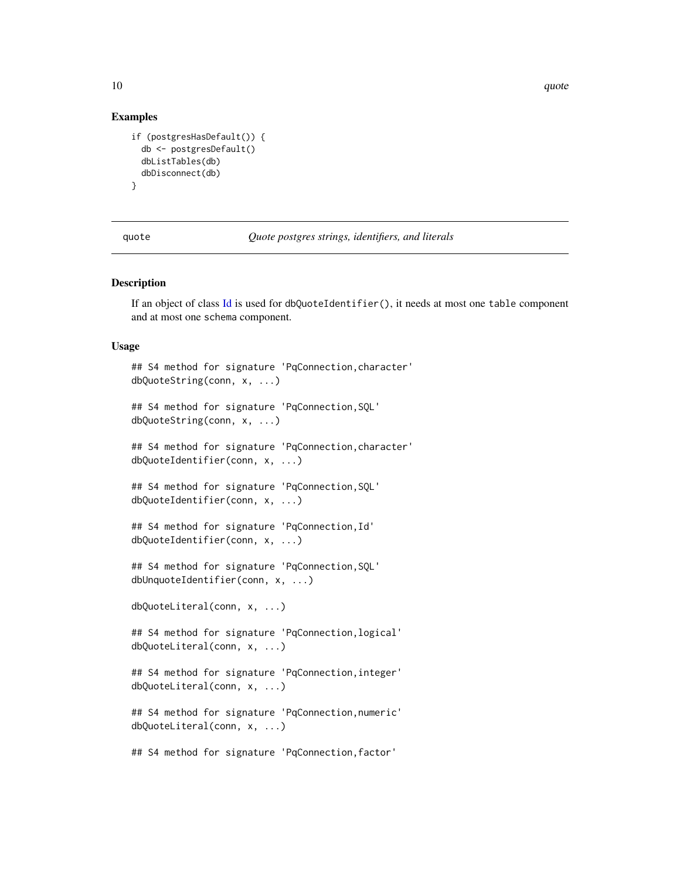10 quote quote and  $\frac{1}{2}$  quote  $\frac{1}{2}$  quote  $\frac{1}{2}$  quote  $\frac{1}{2}$  quote  $\frac{1}{2}$  quote  $\frac{1}{2}$  quote  $\frac{1}{2}$  quote  $\frac{1}{2}$  quote  $\frac{1}{2}$  quote  $\frac{1}{2}$  quote  $\frac{1}{2}$  quote  $\frac{1}{2}$  quote  $\frac{1}{2}$  q

#### Examples

```
if (postgresHasDefault()) {
 db <- postgresDefault()
 dbListTables(db)
 dbDisconnect(db)
}
```
quote *Quote postgres strings, identifiers, and literals*

#### Description

If an object of class [Id](#page-0-0) is used for dbQuoteIdentifier(), it needs at most one table component and at most one schema component.

#### Usage

```
## S4 method for signature 'PqConnection,character'
dbQuoteString(conn, x, ...)
## S4 method for signature 'PqConnection,SQL'
dbQuoteString(conn, x, ...)
## S4 method for signature 'PqConnection,character'
dbQuoteIdentifier(conn, x, ...)
## S4 method for signature 'PqConnection,SQL'
dbQuoteIdentifier(conn, x, ...)
## S4 method for signature 'PqConnection,Id'
dbQuoteIdentifier(conn, x, ...)
## S4 method for signature 'PqConnection,SQL'
dbUnquoteIdentifier(conn, x, ...)
dbQuoteLiteral(conn, x, ...)
## S4 method for signature 'PqConnection,logical'
dbQuoteLiteral(conn, x, ...)
## S4 method for signature 'PqConnection,integer'
dbQuoteLiteral(conn, x, ...)
## S4 method for signature 'PqConnection,numeric'
dbQuoteLiteral(conn, x, ...)
```
## S4 method for signature 'PqConnection,factor'

<span id="page-9-0"></span>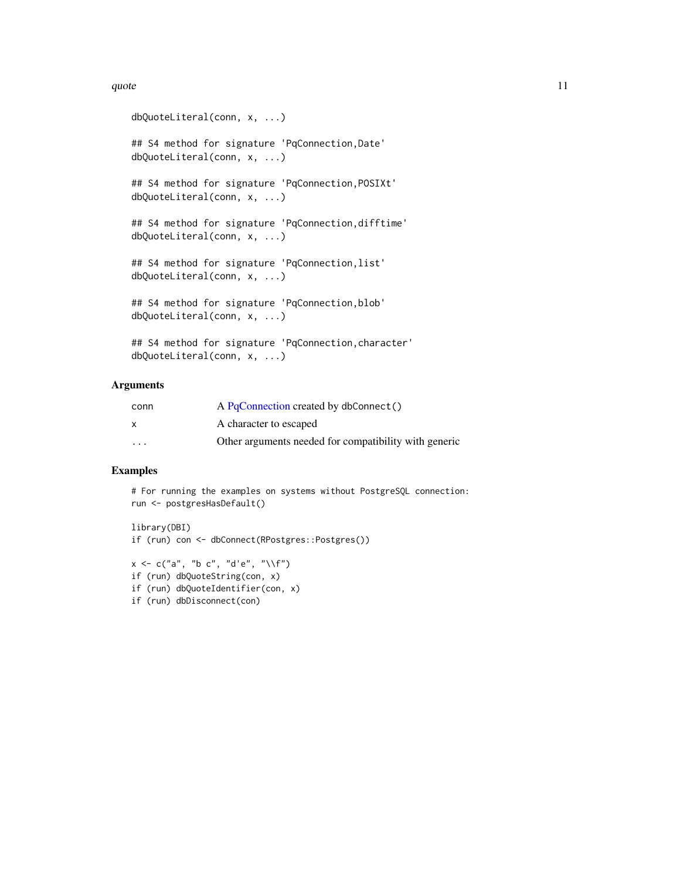#### <span id="page-10-0"></span>quote the contract of the contract of the contract of the contract of the contract of the contract of the contract of the contract of the contract of the contract of the contract of the contract of the contract of the cont

```
dbQuoteLiteral(conn, x, ...)
## S4 method for signature 'PqConnection,Date'
dbQuoteLiteral(conn, x, ...)
## S4 method for signature 'PqConnection,POSIXt'
dbQuoteLiteral(conn, x, ...)
## S4 method for signature 'PqConnection,difftime'
dbQuoteLiteral(conn, x, ...)
## S4 method for signature 'PqConnection, list'
dbQuoteLiteral(conn, x, ...)
## S4 method for signature 'PqConnection, blob'
dbQuoteLiteral(conn, x, ...)
## S4 method for signature 'PqConnection,character'
dbQuoteLiteral(conn, x, ...)
```
#### Arguments

| conn     | A PgConnection created by dbConnect()                 |
|----------|-------------------------------------------------------|
| X        | A character to escaped                                |
| $\cdots$ | Other arguments needed for compatibility with generic |

#### Examples

# For running the examples on systems without PostgreSQL connection: run <- postgresHasDefault()

```
library(DBI)
if (run) con <- dbConnect(RPostgres::Postgres())
```

```
x \leq c("a", "b c", "d'e", "\\if (run) dbQuoteString(con, x)
if (run) dbQuoteIdentifier(con, x)
if (run) dbDisconnect(con)
```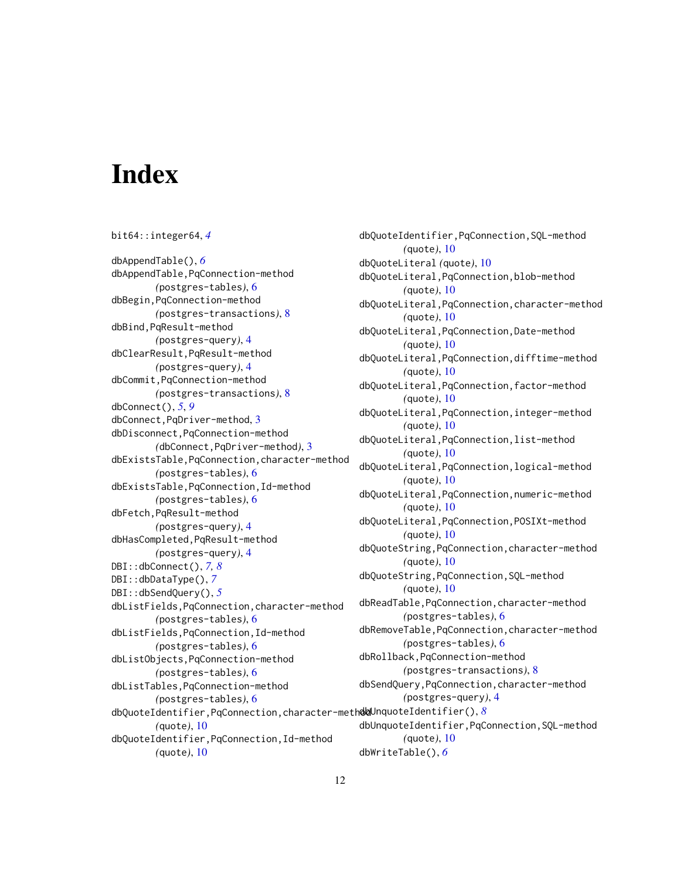# <span id="page-11-0"></span>**Index**

bit64::integer64, *[4](#page-3-0)* dbAppendTable(), *[6](#page-5-0)* dbAppendTable,PqConnection-method *(*postgres-tables*)*, [6](#page-5-0) dbBegin,PqConnection-method *(*postgres-transactions*)*, [8](#page-7-0) dbBind,PqResult-method *(*postgres-query*)*, [4](#page-3-0) dbClearResult,PqResult-method *(*postgres-query*)*, [4](#page-3-0) dbCommit,PqConnection-method *(*postgres-transactions*)*, [8](#page-7-0) dbConnect(), *[5](#page-4-0)*, *[9](#page-8-0)* dbConnect,PqDriver-method, [3](#page-2-0) dbDisconnect,PqConnection-method *(*dbConnect,PqDriver-method*)*, [3](#page-2-0) dbExistsTable,PqConnection,character-method *(*postgres-tables*)*, [6](#page-5-0) dbExistsTable,PqConnection,Id-method *(*postgres-tables*)*, [6](#page-5-0) dbFetch,PqResult-method *(*postgres-query*)*, [4](#page-3-0) dbHasCompleted,PqResult-method *(*postgres-query*)*, [4](#page-3-0) DBI::dbConnect(), *[7,](#page-6-0) [8](#page-7-0)* DBI::dbDataType(), *[7](#page-6-0)* DBI::dbSendQuery(), *[5](#page-4-0)* dbListFields,PqConnection,character-method *(*postgres-tables*)*, [6](#page-5-0) dbListFields,PqConnection,Id-method *(*postgres-tables*)*, [6](#page-5-0) dbListObjects,PqConnection-method *(*postgres-tables*)*, [6](#page-5-0) dbListTables,PqConnection-method *(*postgres-tables*)*, [6](#page-5-0) dbQuoteIdentifier,PqConnection,character-method dbUnquoteIdentifier(), *[8](#page-7-0) (*quote*)*, [10](#page-9-0) dbQuoteIdentifier,PqConnection,Id-method *(*quote*)*, [10](#page-9-0)

dbQuoteIdentifier,PqConnection,SQL-method *(*quote*)*, [10](#page-9-0) dbQuoteLiteral *(*quote*)*, [10](#page-9-0) dbQuoteLiteral,PqConnection,blob-method *(*quote*)*, [10](#page-9-0) dbQuoteLiteral,PqConnection,character-method *(*quote*)*, [10](#page-9-0) dbQuoteLiteral,PqConnection,Date-method *(*quote*)*, [10](#page-9-0) dbQuoteLiteral,PqConnection,difftime-method *(*quote*)*, [10](#page-9-0) dbQuoteLiteral,PqConnection,factor-method *(*quote*)*, [10](#page-9-0) dbQuoteLiteral,PqConnection,integer-method *(*quote*)*, [10](#page-9-0) dbQuoteLiteral,PqConnection,list-method *(*quote*)*, [10](#page-9-0) dbQuoteLiteral,PqConnection,logical-method *(*quote*)*, [10](#page-9-0) dbQuoteLiteral,PqConnection,numeric-method *(*quote*)*, [10](#page-9-0) dbQuoteLiteral,PqConnection,POSIXt-method *(*quote*)*, [10](#page-9-0) dbQuoteString,PqConnection,character-method *(*quote*)*, [10](#page-9-0) dbQuoteString,PqConnection,SQL-method *(*quote*)*, [10](#page-9-0) dbReadTable,PqConnection,character-method *(*postgres-tables*)*, [6](#page-5-0) dbRemoveTable,PqConnection,character-method *(*postgres-tables*)*, [6](#page-5-0) dbRollback,PqConnection-method *(*postgres-transactions*)*, [8](#page-7-0) dbSendQuery,PqConnection,character-method *(*postgres-query*)*, [4](#page-3-0) dbUnquoteIdentifier,PqConnection,SQL-method *(*quote*)*, [10](#page-9-0) dbWriteTable(), *[6](#page-5-0)*